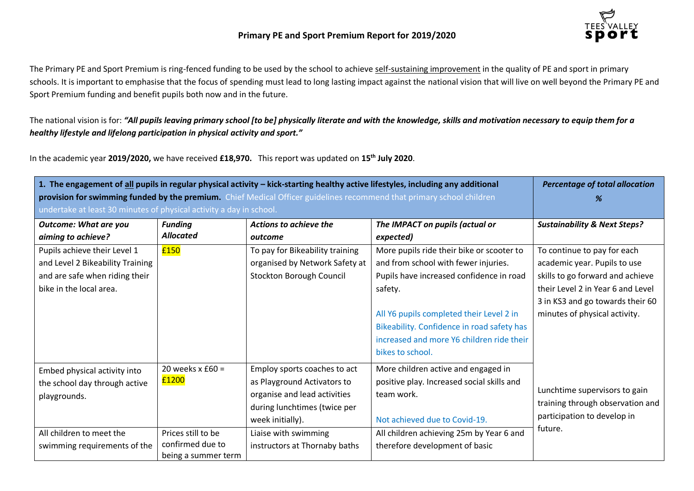

The Primary PE and Sport Premium is ring-fenced funding to be used by the school to achieve self-sustaining improvement in the quality of PE and sport in primary schools. It is important to emphasise that the focus of spending must lead to long lasting impact against the national vision that will live on well beyond the Primary PE and Sport Premium funding and benefit pupils both now and in the future.

The national vision is for: *"All pupils leaving primary school [to be] physically literate and with the knowledge, skills and motivation necessary to equip them for a healthy lifestyle and lifelong participation in physical activity and sport."*

In the academic year **2019/2020,** we have received **£18,970.** This report was updated on **15th July 2020**.

| 1. The engagement of all pupils in regular physical activity - kick-starting healthy active lifestyles, including any additional | <b>Percentage of total allocation</b> |                                 |                                            |                                         |
|----------------------------------------------------------------------------------------------------------------------------------|---------------------------------------|---------------------------------|--------------------------------------------|-----------------------------------------|
| provision for swimming funded by the premium. Chief Medical Officer guidelines recommend that primary school children            | %                                     |                                 |                                            |                                         |
| undertake at least 30 minutes of physical activity a day in school.                                                              |                                       |                                 |                                            |                                         |
| <b>Outcome: What are you</b>                                                                                                     | <b>Funding</b>                        | Actions to achieve the          | The IMPACT on pupils (actual or            | <b>Sustainability &amp; Next Steps?</b> |
| aiming to achieve?                                                                                                               | <b>Allocated</b>                      | outcome                         | expected)                                  |                                         |
| Pupils achieve their Level 1                                                                                                     | £150                                  | To pay for Bikeability training | More pupils ride their bike or scooter to  | To continue to pay for each             |
| and Level 2 Bikeability Training                                                                                                 |                                       | organised by Network Safety at  | and from school with fewer injuries.       | academic year. Pupils to use            |
| and are safe when riding their                                                                                                   |                                       | Stockton Borough Council        | Pupils have increased confidence in road   | skills to go forward and achieve        |
| bike in the local area.                                                                                                          |                                       |                                 | safety.                                    | their Level 2 in Year 6 and Level       |
|                                                                                                                                  |                                       |                                 |                                            | 3 in KS3 and go towards their 60        |
|                                                                                                                                  |                                       |                                 | All Y6 pupils completed their Level 2 in   | minutes of physical activity.           |
|                                                                                                                                  |                                       |                                 | Bikeability. Confidence in road safety has |                                         |
|                                                                                                                                  |                                       |                                 | increased and more Y6 children ride their  |                                         |
|                                                                                                                                  |                                       |                                 | bikes to school.                           |                                         |
| Embed physical activity into                                                                                                     | 20 weeks $x$ £60 =                    | Employ sports coaches to act    | More children active and engaged in        |                                         |
| the school day through active                                                                                                    | £1200                                 | as Playground Activators to     | positive play. Increased social skills and |                                         |
| playgrounds.                                                                                                                     |                                       | organise and lead activities    | team work.                                 | Lunchtime supervisors to gain           |
|                                                                                                                                  |                                       | during lunchtimes (twice per    |                                            | training through observation and        |
|                                                                                                                                  |                                       | week initially).                | Not achieved due to Covid-19.              | participation to develop in             |
| All children to meet the                                                                                                         | Prices still to be                    | Liaise with swimming            | All children achieving 25m by Year 6 and   | future.                                 |
| swimming requirements of the                                                                                                     | confirmed due to                      | instructors at Thornaby baths   | therefore development of basic             |                                         |
|                                                                                                                                  | being a summer term                   |                                 |                                            |                                         |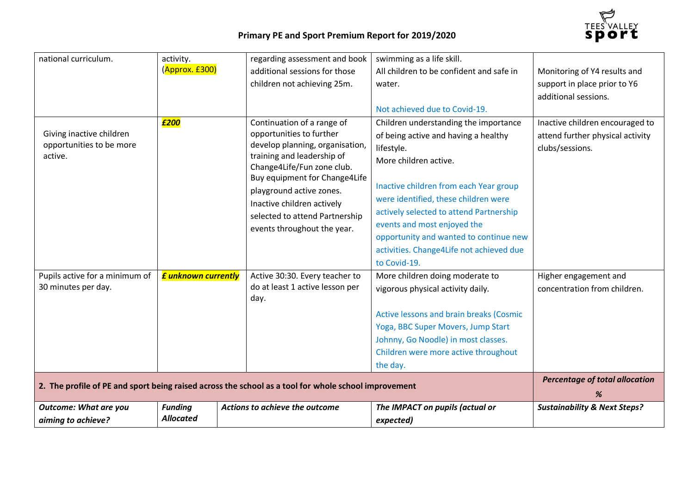

| <b>Outcome: What are you</b><br>aiming to achieve?                                                   | <b>Funding</b><br><b>Allocated</b>         | Actions to achieve the outcome                                                                                                                                                                                                                                                                                    | The IMPACT on pupils (actual or<br>expected)                                                                                                                                                                                                                                                                                                                                                                            | <b>Sustainability &amp; Next Steps?</b>                                                                        |
|------------------------------------------------------------------------------------------------------|--------------------------------------------|-------------------------------------------------------------------------------------------------------------------------------------------------------------------------------------------------------------------------------------------------------------------------------------------------------------------|-------------------------------------------------------------------------------------------------------------------------------------------------------------------------------------------------------------------------------------------------------------------------------------------------------------------------------------------------------------------------------------------------------------------------|----------------------------------------------------------------------------------------------------------------|
| 2. The profile of PE and sport being raised across the school as a tool for whole school improvement | <b>Percentage of total allocation</b><br>% |                                                                                                                                                                                                                                                                                                                   |                                                                                                                                                                                                                                                                                                                                                                                                                         |                                                                                                                |
| Pupils active for a minimum of<br>30 minutes per day.                                                | <b>£ unknown currently</b>                 | Active 30:30. Every teacher to<br>do at least 1 active lesson per<br>day.                                                                                                                                                                                                                                         | More children doing moderate to<br>vigorous physical activity daily.<br>Active lessons and brain breaks (Cosmic<br>Yoga, BBC Super Movers, Jump Start<br>Johnny, Go Noodle) in most classes.<br>Children were more active throughout<br>the day.                                                                                                                                                                        | Higher engagement and<br>concentration from children.                                                          |
| Giving inactive children<br>opportunities to be more<br>active.                                      | £200                                       | Continuation of a range of<br>opportunities to further<br>develop planning, organisation,<br>training and leadership of<br>Change4Life/Fun zone club.<br>Buy equipment for Change4Life<br>playground active zones.<br>Inactive children actively<br>selected to attend Partnership<br>events throughout the year. | Not achieved due to Covid-19.<br>Children understanding the importance<br>of being active and having a healthy<br>lifestyle.<br>More children active.<br>Inactive children from each Year group<br>were identified, these children were<br>actively selected to attend Partnership<br>events and most enjoyed the<br>opportunity and wanted to continue new<br>activities. Change4Life not achieved due<br>to Covid-19. | additional sessions.<br>Inactive children encouraged to<br>attend further physical activity<br>clubs/sessions. |
| national curriculum.                                                                                 | activity.<br>(Approx. £300)                | regarding assessment and book<br>additional sessions for those<br>children not achieving 25m.                                                                                                                                                                                                                     | swimming as a life skill.<br>All children to be confident and safe in<br>water.                                                                                                                                                                                                                                                                                                                                         | Monitoring of Y4 results and<br>support in place prior to Y6                                                   |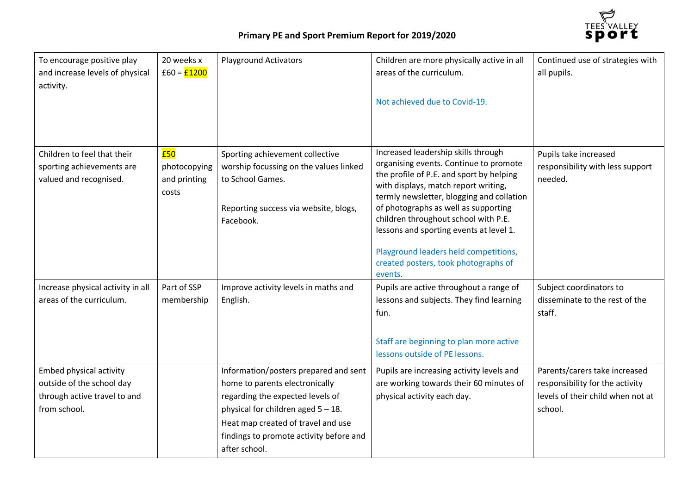

| To encourage positive play<br>and increase levels of physical<br>activity.                           | 20 weeks x<br>$f60 = f1200$                  | <b>Playground Activators</b>                                                                                                                                                                                                                           | Children are more physically active in all<br>areas of the curriculum.<br>Not achieved due to Covid-19.                                                                                                                                                                                                                                                                                                                               | Continued use of strategies with<br>all pupils.                                                                  |
|------------------------------------------------------------------------------------------------------|----------------------------------------------|--------------------------------------------------------------------------------------------------------------------------------------------------------------------------------------------------------------------------------------------------------|---------------------------------------------------------------------------------------------------------------------------------------------------------------------------------------------------------------------------------------------------------------------------------------------------------------------------------------------------------------------------------------------------------------------------------------|------------------------------------------------------------------------------------------------------------------|
| Children to feel that their<br>sporting achievements are<br>valued and recognised.                   | £50<br>photocopying<br>and printing<br>costs | Sporting achievement collective<br>worship focussing on the values linked<br>to School Games.<br>Reporting success via website, blogs,<br>Facebook.                                                                                                    | Increased leadership skills through<br>organising events. Continue to promote<br>the profile of P.E. and sport by helping<br>with displays, match report writing,<br>termly newsletter, blogging and collation<br>of photographs as well as supporting<br>children throughout school with P.E.<br>lessons and sporting events at level 1.<br>Playground leaders held competitions,<br>created posters, took photographs of<br>events. | Pupils take increased<br>responsibility with less support<br>needed.                                             |
| Increase physical activity in all<br>areas of the curriculum.                                        | Part of SSP<br>membership                    | Improve activity levels in maths and<br>English.                                                                                                                                                                                                       | Pupils are active throughout a range of<br>lessons and subjects. They find learning<br>fun.<br>Staff are beginning to plan more active<br>lessons outside of PE lessons.                                                                                                                                                                                                                                                              | Subject coordinators to<br>disseminate to the rest of the<br>staff.                                              |
| Embed physical activity<br>outside of the school day<br>through active travel to and<br>from school. |                                              | Information/posters prepared and sent<br>home to parents electronically<br>regarding the expected levels of<br>physical for children aged $5 - 18$ .<br>Heat map created of travel and use<br>findings to promote activity before and<br>after school. | Pupils are increasing activity levels and<br>are working towards their 60 minutes of<br>physical activity each day.                                                                                                                                                                                                                                                                                                                   | Parents/carers take increased<br>responsibility for the activity<br>levels of their child when not at<br>school. |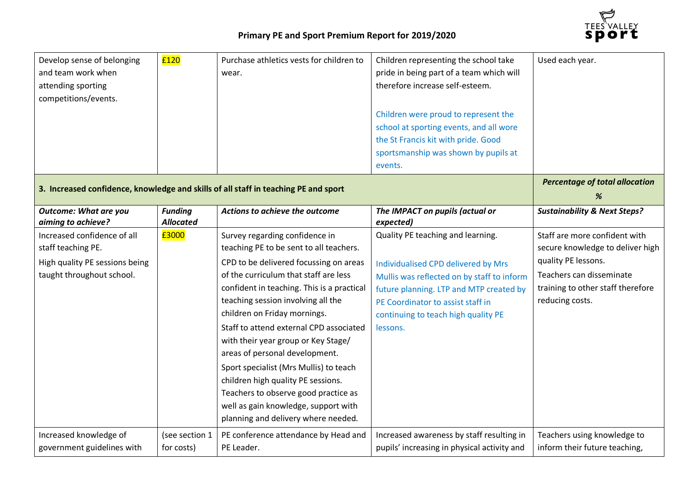

| Develop sense of belonging<br>and team work when<br>attending sporting<br>competitions/events. | £120                                       | Purchase athletics vests for children to<br>wear. | Children representing the school take<br>pride in being part of a team which will<br>therefore increase self-esteem.<br>Children were proud to represent the<br>school at sporting events, and all wore<br>the St Francis kit with pride. Good<br>sportsmanship was shown by pupils at<br>events. | Used each year.                         |
|------------------------------------------------------------------------------------------------|--------------------------------------------|---------------------------------------------------|---------------------------------------------------------------------------------------------------------------------------------------------------------------------------------------------------------------------------------------------------------------------------------------------------|-----------------------------------------|
| 3. Increased confidence, knowledge and skills of all staff in teaching PE and sport            | <b>Percentage of total allocation</b><br>% |                                                   |                                                                                                                                                                                                                                                                                                   |                                         |
| <b>Outcome: What are you</b><br>aiming to achieve?                                             | <b>Funding</b><br><b>Allocated</b>         | Actions to achieve the outcome                    | The IMPACT on pupils (actual or<br>expected)                                                                                                                                                                                                                                                      | <b>Sustainability &amp; Next Steps?</b> |
| Increased confidence of all                                                                    | £3000                                      | Survey regarding confidence in                    | Quality PE teaching and learning.                                                                                                                                                                                                                                                                 | Staff are more confident with           |
| staff teaching PE.                                                                             |                                            | teaching PE to be sent to all teachers.           |                                                                                                                                                                                                                                                                                                   | secure knowledge to deliver high        |
| High quality PE sessions being                                                                 |                                            | CPD to be delivered focussing on areas            | <b>Individualised CPD delivered by Mrs</b>                                                                                                                                                                                                                                                        | quality PE lessons.                     |
| taught throughout school.                                                                      |                                            | of the curriculum that staff are less             | Mullis was reflected on by staff to inform                                                                                                                                                                                                                                                        | Teachers can disseminate                |
|                                                                                                |                                            | confident in teaching. This is a practical        | future planning. LTP and MTP created by                                                                                                                                                                                                                                                           | training to other staff therefore       |
|                                                                                                |                                            | teaching session involving all the                | PE Coordinator to assist staff in                                                                                                                                                                                                                                                                 | reducing costs.                         |
|                                                                                                |                                            | children on Friday mornings.                      | continuing to teach high quality PE                                                                                                                                                                                                                                                               |                                         |
|                                                                                                |                                            | Staff to attend external CPD associated           | lessons.                                                                                                                                                                                                                                                                                          |                                         |
|                                                                                                |                                            | with their year group or Key Stage/               |                                                                                                                                                                                                                                                                                                   |                                         |
|                                                                                                |                                            | areas of personal development.                    |                                                                                                                                                                                                                                                                                                   |                                         |
|                                                                                                |                                            | Sport specialist (Mrs Mullis) to teach            |                                                                                                                                                                                                                                                                                                   |                                         |
|                                                                                                |                                            | children high quality PE sessions.                |                                                                                                                                                                                                                                                                                                   |                                         |
|                                                                                                |                                            | Teachers to observe good practice as              |                                                                                                                                                                                                                                                                                                   |                                         |
|                                                                                                |                                            | well as gain knowledge, support with              |                                                                                                                                                                                                                                                                                                   |                                         |
|                                                                                                |                                            | planning and delivery where needed.               |                                                                                                                                                                                                                                                                                                   |                                         |
| Increased knowledge of                                                                         | (see section 1                             | PE conference attendance by Head and              | Increased awareness by staff resulting in                                                                                                                                                                                                                                                         | Teachers using knowledge to             |
| government guidelines with                                                                     | for costs)                                 | PE Leader.                                        | pupils' increasing in physical activity and                                                                                                                                                                                                                                                       | inform their future teaching,           |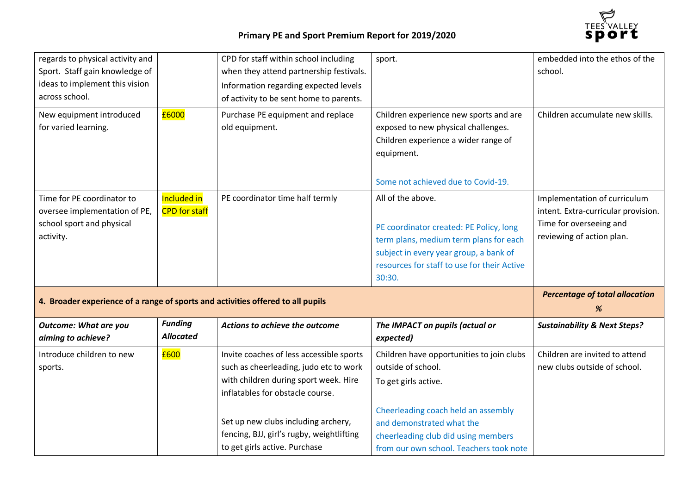

| regards to physical activity and<br>Sport. Staff gain knowledge of<br>ideas to implement this vision<br>across school. |                                     | CPD for staff within school including<br>when they attend partnership festivals.<br>Information regarding expected levels<br>of activity to be sent home to parents.                                                                                | sport.                                                                                                                                                                                                    | embedded into the ethos of the<br>school.                                                                                   |
|------------------------------------------------------------------------------------------------------------------------|-------------------------------------|-----------------------------------------------------------------------------------------------------------------------------------------------------------------------------------------------------------------------------------------------------|-----------------------------------------------------------------------------------------------------------------------------------------------------------------------------------------------------------|-----------------------------------------------------------------------------------------------------------------------------|
| New equipment introduced<br>for varied learning.                                                                       | £6000                               | Purchase PE equipment and replace<br>old equipment.                                                                                                                                                                                                 | Children experience new sports and are<br>exposed to new physical challenges.<br>Children experience a wider range of<br>equipment.<br>Some not achieved due to Covid-19.                                 | Children accumulate new skills.                                                                                             |
| Time for PE coordinator to<br>oversee implementation of PE,<br>school sport and physical<br>activity.                  | Included in<br><b>CPD</b> for staff | PE coordinator time half termly                                                                                                                                                                                                                     | All of the above.<br>PE coordinator created: PE Policy, long<br>term plans, medium term plans for each<br>subject in every year group, a bank of<br>resources for staff to use for their Active<br>30:30. | Implementation of curriculum<br>intent. Extra-curricular provision.<br>Time for overseeing and<br>reviewing of action plan. |
| 4. Broader experience of a range of sports and activities offered to all pupils                                        |                                     |                                                                                                                                                                                                                                                     |                                                                                                                                                                                                           | <b>Percentage of total allocation</b><br>%                                                                                  |
| <b>Outcome: What are you</b><br>aiming to achieve?                                                                     | <b>Funding</b><br><b>Allocated</b>  | Actions to achieve the outcome                                                                                                                                                                                                                      | The IMPACT on pupils (actual or<br>expected)                                                                                                                                                              | <b>Sustainability &amp; Next Steps?</b>                                                                                     |
| Introduce children to new<br>sports.                                                                                   | £600                                | Invite coaches of less accessible sports<br>such as cheerleading, judo etc to work<br>with children during sport week. Hire<br>inflatables for obstacle course.<br>Set up new clubs including archery,<br>fencing, BJJ, girl's rugby, weightlifting | Children have opportunities to join clubs<br>outside of school.<br>To get girls active.<br>Cheerleading coach held an assembly<br>and demonstrated what the                                               | Children are invited to attend<br>new clubs outside of school.                                                              |
|                                                                                                                        |                                     | to get girls active. Purchase                                                                                                                                                                                                                       | cheerleading club did using members<br>from our own school. Teachers took note                                                                                                                            |                                                                                                                             |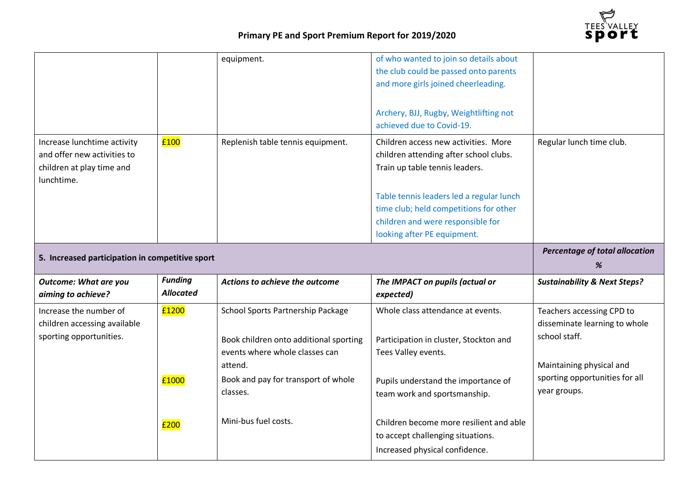

|                                                                                                       |                                    | equipment.                                                                                                                                                                  | of who wanted to join so details about<br>the club could be passed onto parents<br>and more girls joined cheerleading.<br>Archery, BJJ, Rugby, Weightlifting not<br>achieved due to Covid-19.                                                                              |                                                                                                                                                           |
|-------------------------------------------------------------------------------------------------------|------------------------------------|-----------------------------------------------------------------------------------------------------------------------------------------------------------------------------|----------------------------------------------------------------------------------------------------------------------------------------------------------------------------------------------------------------------------------------------------------------------------|-----------------------------------------------------------------------------------------------------------------------------------------------------------|
| Increase lunchtime activity<br>and offer new activities to<br>children at play time and<br>lunchtime. | £100                               | Replenish table tennis equipment.                                                                                                                                           | Children access new activities. More<br>children attending after school clubs.<br>Train up table tennis leaders.<br>Table tennis leaders led a regular lunch<br>time club; held competitions for other<br>children and were responsible for<br>looking after PE equipment. | Regular lunch time club.                                                                                                                                  |
|                                                                                                       | Percentage of total allocation     |                                                                                                                                                                             |                                                                                                                                                                                                                                                                            |                                                                                                                                                           |
| 5. Increased participation in competitive sport                                                       |                                    |                                                                                                                                                                             |                                                                                                                                                                                                                                                                            | %                                                                                                                                                         |
| <b>Outcome: What are you</b><br>aiming to achieve?                                                    | <b>Funding</b><br><b>Allocated</b> | Actions to achieve the outcome                                                                                                                                              | The IMPACT on pupils (actual or<br>expected)                                                                                                                                                                                                                               | <b>Sustainability &amp; Next Steps?</b>                                                                                                                   |
| Increase the number of<br>children accessing available<br>sporting opportunities.                     | £1200<br>£1000                     | School Sports Partnership Package<br>Book children onto additional sporting<br>events where whole classes can<br>attend.<br>Book and pay for transport of whole<br>classes. | Whole class attendance at events.<br>Participation in cluster, Stockton and<br>Tees Valley events.<br>Pupils understand the importance of<br>team work and sportsmanship.                                                                                                  | Teachers accessing CPD to<br>disseminate learning to whole<br>school staff.<br>Maintaining physical and<br>sporting opportunities for all<br>year groups. |